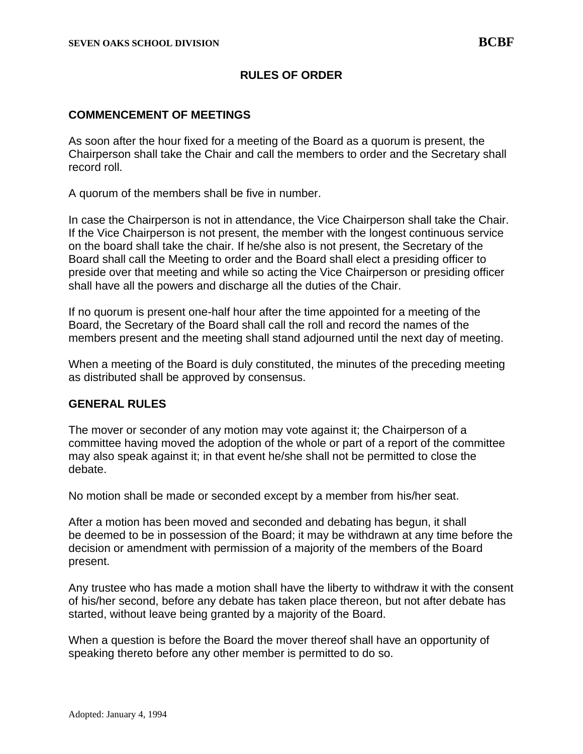# **RULES OF ORDER**

#### **COMMENCEMENT OF MEETINGS**

As soon after the hour fixed for a meeting of the Board as a quorum is present, the Chairperson shall take the Chair and call the members to order and the Secretary shall record roll.

A quorum of the members shall be five in number.

In case the Chairperson is not in attendance, the Vice Chairperson shall take the Chair. If the Vice Chairperson is not present, the member with the longest continuous service on the board shall take the chair. If he/she also is not present, the Secretary of the Board shall call the Meeting to order and the Board shall elect a presiding officer to preside over that meeting and while so acting the Vice Chairperson or presiding officer shall have all the powers and discharge all the duties of the Chair.

If no quorum is present one-half hour after the time appointed for a meeting of the Board, the Secretary of the Board shall call the roll and record the names of the members present and the meeting shall stand adjourned until the next day of meeting.

When a meeting of the Board is duly constituted, the minutes of the preceding meeting as distributed shall be approved by consensus.

#### **GENERAL RULES**

The mover or seconder of any motion may vote against it; the Chairperson of a committee having moved the adoption of the whole or part of a report of the committee may also speak against it; in that event he/she shall not be permitted to close the debate.

No motion shall be made or seconded except by a member from his/her seat.

After a motion has been moved and seconded and debating has begun, it shall be deemed to be in possession of the Board; it may be withdrawn at any time before the decision or amendment with permission of a majority of the members of the Board present.

Any trustee who has made a motion shall have the liberty to withdraw it with the consent of his/her second, before any debate has taken place thereon, but not after debate has started, without leave being granted by a majority of the Board.

When a question is before the Board the mover thereof shall have an opportunity of speaking thereto before any other member is permitted to do so.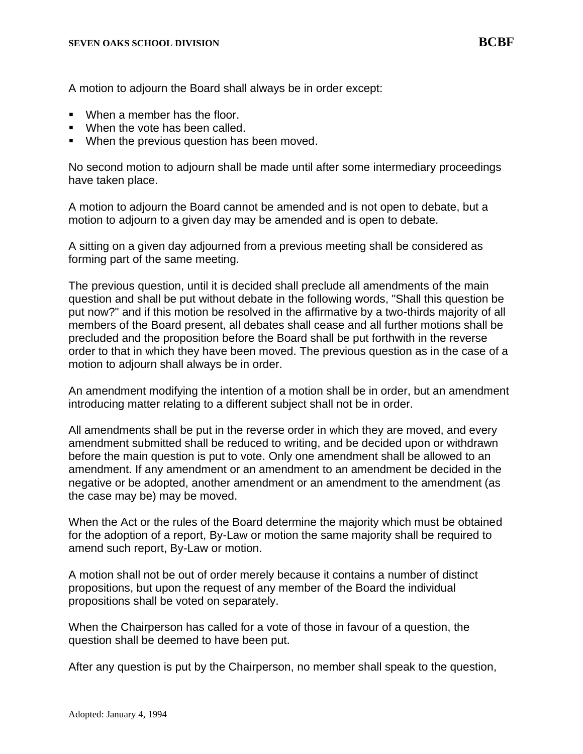A motion to adjourn the Board shall always be in order except:

- When a member has the floor.
- When the vote has been called.
- When the previous question has been moved.

No second motion to adjourn shall be made until after some intermediary proceedings have taken place.

A motion to adjourn the Board cannot be amended and is not open to debate, but a motion to adjourn to a given day may be amended and is open to debate.

A sitting on a given day adjourned from a previous meeting shall be considered as forming part of the same meeting.

The previous question, until it is decided shall preclude all amendments of the main question and shall be put without debate in the following words, "Shall this question be put now?" and if this motion be resolved in the affirmative by a two-thirds majority of all members of the Board present, all debates shall cease and all further motions shall be precluded and the proposition before the Board shall be put forthwith in the reverse order to that in which they have been moved. The previous question as in the case of a motion to adjourn shall always be in order.

An amendment modifying the intention of a motion shall be in order, but an amendment introducing matter relating to a different subject shall not be in order.

All amendments shall be put in the reverse order in which they are moved, and every amendment submitted shall be reduced to writing, and be decided upon or withdrawn before the main question is put to vote. Only one amendment shall be allowed to an amendment. If any amendment or an amendment to an amendment be decided in the negative or be adopted, another amendment or an amendment to the amendment (as the case may be) may be moved.

When the Act or the rules of the Board determine the majority which must be obtained for the adoption of a report, By-Law or motion the same majority shall be required to amend such report, By-Law or motion.

A motion shall not be out of order merely because it contains a number of distinct propositions, but upon the request of any member of the Board the individual propositions shall be voted on separately.

When the Chairperson has called for a vote of those in favour of a question, the question shall be deemed to have been put.

After any question is put by the Chairperson, no member shall speak to the question,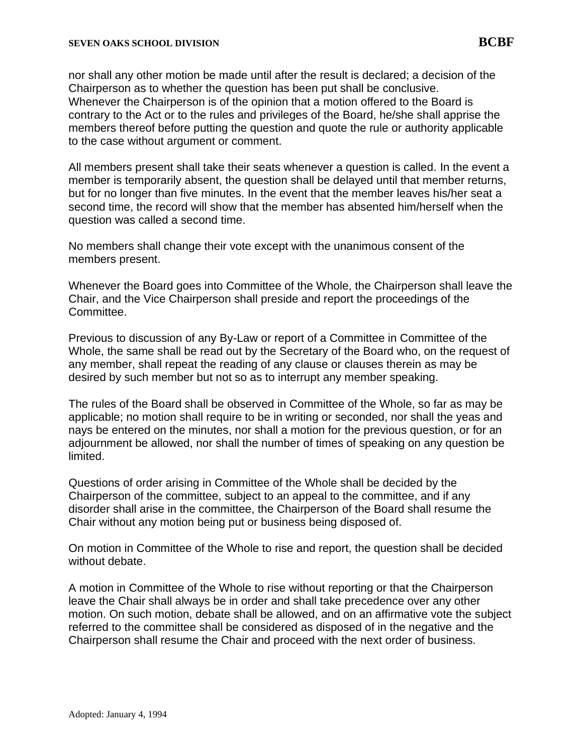nor shall any other motion be made until after the result is declared; a decision of the Chairperson as to whether the question has been put shall be conclusive. Whenever the Chairperson is of the opinion that a motion offered to the Board is contrary to the Act or to the rules and privileges of the Board, he/she shall apprise the members thereof before putting the question and quote the rule or authority applicable to the case without argument or comment.

All members present shall take their seats whenever a question is called. In the event a member is temporarily absent, the question shall be delayed until that member returns, but for no longer than five minutes. In the event that the member leaves his/her seat a second time, the record will show that the member has absented him/herself when the question was called a second time.

No members shall change their vote except with the unanimous consent of the members present.

Whenever the Board goes into Committee of the Whole, the Chairperson shall leave the Chair, and the Vice Chairperson shall preside and report the proceedings of the Committee.

Previous to discussion of any By-Law or report of a Committee in Committee of the Whole, the same shall be read out by the Secretary of the Board who, on the request of any member, shall repeat the reading of any clause or clauses therein as may be desired by such member but not so as to interrupt any member speaking.

The rules of the Board shall be observed in Committee of the Whole, so far as may be applicable; no motion shall require to be in writing or seconded, nor shall the yeas and nays be entered on the minutes, nor shall a motion for the previous question, or for an adjournment be allowed, nor shall the number of times of speaking on any question be limited.

Questions of order arising in Committee of the Whole shall be decided by the Chairperson of the committee, subject to an appeal to the committee, and if any disorder shall arise in the committee, the Chairperson of the Board shall resume the Chair without any motion being put or business being disposed of.

On motion in Committee of the Whole to rise and report, the question shall be decided without debate.

A motion in Committee of the Whole to rise without reporting or that the Chairperson leave the Chair shall always be in order and shall take precedence over any other motion. On such motion, debate shall be allowed, and on an affirmative vote the subject referred to the committee shall be considered as disposed of in the negative and the Chairperson shall resume the Chair and proceed with the next order of business.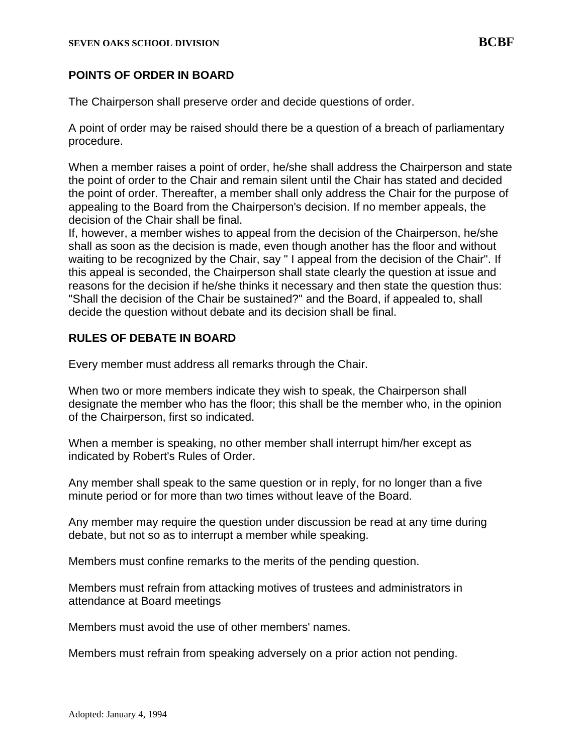### **POINTS OF ORDER IN BOARD**

The Chairperson shall preserve order and decide questions of order.

A point of order may be raised should there be a question of a breach of parliamentary procedure.

When a member raises a point of order, he/she shall address the Chairperson and state the point of order to the Chair and remain silent until the Chair has stated and decided the point of order. Thereafter, a member shall only address the Chair for the purpose of appealing to the Board from the Chairperson's decision. If no member appeals, the decision of the Chair shall be final.

If, however, a member wishes to appeal from the decision of the Chairperson, he/she shall as soon as the decision is made, even though another has the floor and without waiting to be recognized by the Chair, say " I appeal from the decision of the Chair". If this appeal is seconded, the Chairperson shall state clearly the question at issue and reasons for the decision if he/she thinks it necessary and then state the question thus: "Shall the decision of the Chair be sustained?" and the Board, if appealed to, shall decide the question without debate and its decision shall be final.

#### **RULES OF DEBATE IN BOARD**

Every member must address all remarks through the Chair.

When two or more members indicate they wish to speak, the Chairperson shall designate the member who has the floor; this shall be the member who, in the opinion of the Chairperson, first so indicated.

When a member is speaking, no other member shall interrupt him/her except as indicated by Robert's Rules of Order.

Any member shall speak to the same question or in reply, for no longer than a five minute period or for more than two times without leave of the Board.

Any member may require the question under discussion be read at any time during debate, but not so as to interrupt a member while speaking.

Members must confine remarks to the merits of the pending question.

Members must refrain from attacking motives of trustees and administrators in attendance at Board meetings

Members must avoid the use of other members' names.

Members must refrain from speaking adversely on a prior action not pending.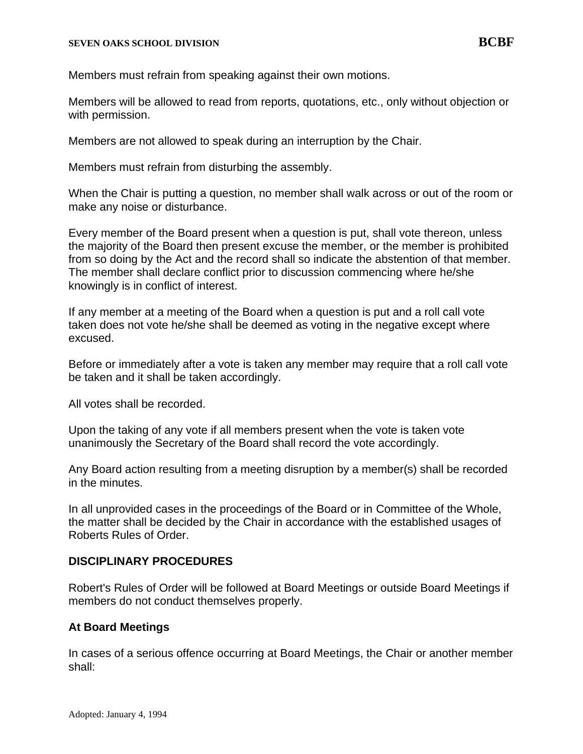Members must refrain from speaking against their own motions.

Members will be allowed to read from reports, quotations, etc., only without objection or with permission.

Members are not allowed to speak during an interruption by the Chair.

Members must refrain from disturbing the assembly.

When the Chair is putting a question, no member shall walk across or out of the room or make any noise or disturbance.

Every member of the Board present when a question is put, shall vote thereon, unless the majority of the Board then present excuse the member, or the member is prohibited from so doing by the Act and the record shall so indicate the abstention of that member. The member shall declare conflict prior to discussion commencing where he/she knowingly is in conflict of interest.

If any member at a meeting of the Board when a question is put and a roll call vote taken does not vote he/she shall be deemed as voting in the negative except where excused.

Before or immediately after a vote is taken any member may require that a roll call vote be taken and it shall be taken accordingly.

All votes shall be recorded.

Upon the taking of any vote if all members present when the vote is taken vote unanimously the Secretary of the Board shall record the vote accordingly.

Any Board action resulting from a meeting disruption by a member(s) shall be recorded in the minutes.

In all unprovided cases in the proceedings of the Board or in Committee of the Whole, the matter shall be decided by the Chair in accordance with the established usages of Roberts Rules of Order.

# **DISCIPLINARY PROCEDURES**

Robert's Rules of Order will be followed at Board Meetings or outside Board Meetings if members do not conduct themselves properly.

# **At Board Meetings**

In cases of a serious offence occurring at Board Meetings, the Chair or another member shall: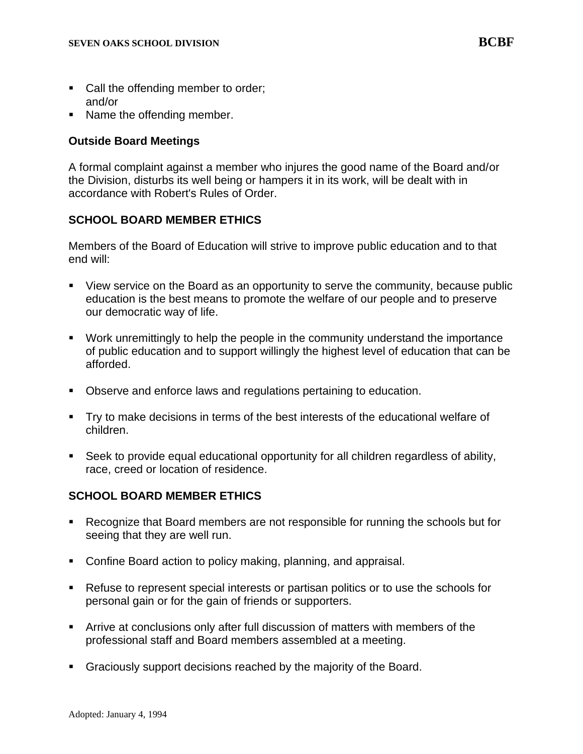- Call the offending member to order; and/or
- Name the offending member.

#### **Outside Board Meetings**

A formal complaint against a member who injures the good name of the Board and/or the Division, disturbs its well being or hampers it in its work, will be dealt with in accordance with Robert's Rules of Order.

# **SCHOOL BOARD MEMBER ETHICS**

Members of the Board of Education will strive to improve public education and to that end will:

- View service on the Board as an opportunity to serve the community, because public education is the best means to promote the welfare of our people and to preserve our democratic way of life.
- Work unremittingly to help the people in the community understand the importance of public education and to support willingly the highest level of education that can be afforded.
- Observe and enforce laws and regulations pertaining to education.
- Try to make decisions in terms of the best interests of the educational welfare of children.
- Seek to provide equal educational opportunity for all children regardless of ability, race, creed or location of residence.

# **SCHOOL BOARD MEMBER ETHICS**

- Recognize that Board members are not responsible for running the schools but for seeing that they are well run.
- Confine Board action to policy making, planning, and appraisal.
- Refuse to represent special interests or partisan politics or to use the schools for personal gain or for the gain of friends or supporters.
- **EXTER 15 Arrive at conclusions only after full discussion of matters with members of the** professional staff and Board members assembled at a meeting.
- Graciously support decisions reached by the majority of the Board.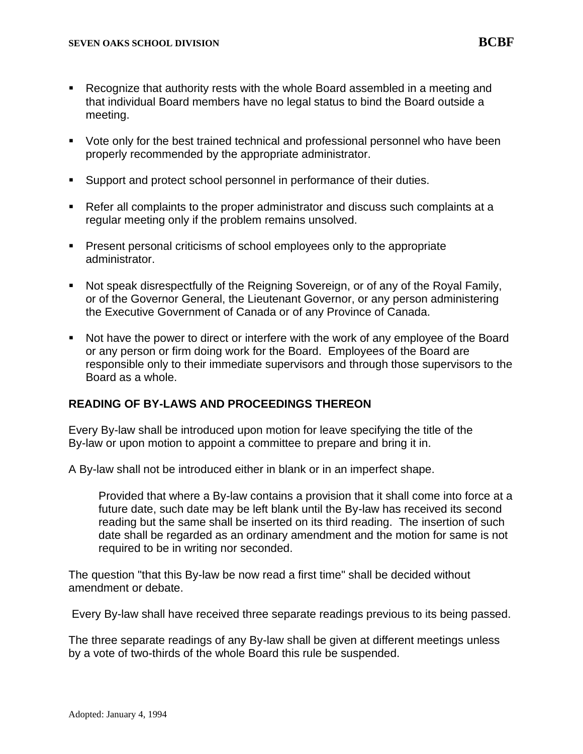- Recognize that authority rests with the whole Board assembled in a meeting and that individual Board members have no legal status to bind the Board outside a meeting.
- Vote only for the best trained technical and professional personnel who have been properly recommended by the appropriate administrator.
- Support and protect school personnel in performance of their duties.
- Refer all complaints to the proper administrator and discuss such complaints at a regular meeting only if the problem remains unsolved.
- **•** Present personal criticisms of school employees only to the appropriate administrator.
- Not speak disrespectfully of the Reigning Sovereign, or of any of the Royal Family, or of the Governor General, the Lieutenant Governor, or any person administering the Executive Government of Canada or of any Province of Canada.
- Not have the power to direct or interfere with the work of any employee of the Board or any person or firm doing work for the Board. Employees of the Board are responsible only to their immediate supervisors and through those supervisors to the Board as a whole.

#### **READING OF BY-LAWS AND PROCEEDINGS THEREON**

Every By-law shall be introduced upon motion for leave specifying the title of the By-law or upon motion to appoint a committee to prepare and bring it in.

A By-law shall not be introduced either in blank or in an imperfect shape.

Provided that where a By-law contains a provision that it shall come into force at a future date, such date may be left blank until the By-law has received its second reading but the same shall be inserted on its third reading. The insertion of such date shall be regarded as an ordinary amendment and the motion for same is not required to be in writing nor seconded.

The question "that this By-law be now read a first time" shall be decided without amendment or debate.

Every By-law shall have received three separate readings previous to its being passed.

The three separate readings of any By-law shall be given at different meetings unless by a vote of two-thirds of the whole Board this rule be suspended.